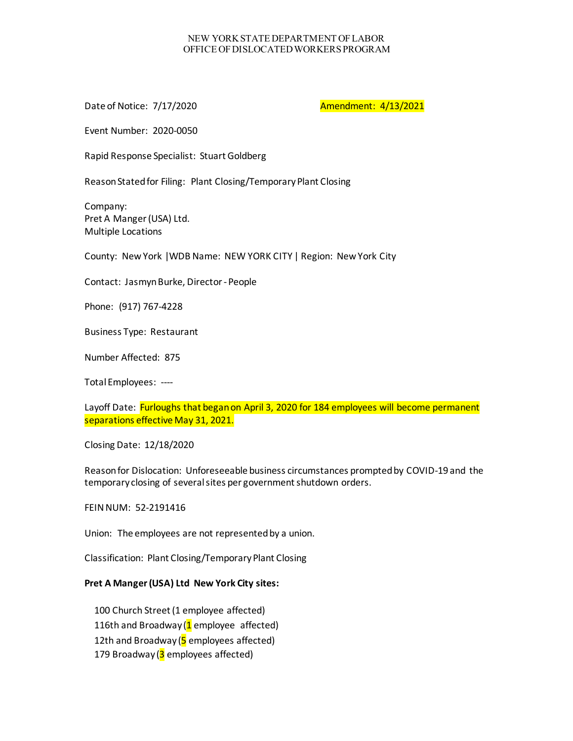## NEW YORK STATE DEPARTMENT OF LABOR OFFICE OF DISLOCATED WORKERS PROGRAM

Date of Notice: 7/17/2020 **Amendment: 4/13/2021** 

Event Number: 2020-0050

Rapid Response Specialist: Stuart Goldberg

Reason Stated for Filing: Plant Closing/Temporary Plant Closing

Company: Pret A Manger (USA) Ltd. Multiple Locations

County: New York |WDB Name: NEW YORK CITY | Region: New York City

Contact: Jasmyn Burke, Director -People

Phone: (917) 767-4228

Business Type: Restaurant

Number Affected: 875

Total Employees: ----

Layoff Date: Furloughs that began on April 3, 2020 for 184 employees will become permanent separations effective May 31, 2021.

Closing Date: 12/18/2020

Reason for Dislocation: Unforeseeable business circumstances prompted by COVID-19 and the temporary closing of several sites per government shutdown orders.

FEIN NUM: 52-2191416

Union: The employees are not represented by a union.

Classification: Plant Closing/Temporary Plant Closing

## **Pret A Manger (USA) Ltd New York City sites:**

100 Church Street (1 employee affected) 116th and Broadway  $(1$  employee affected) 12th and Broadway  $(5 \text{ employees affected})$ 179 Broadway ( $3$  employees affected)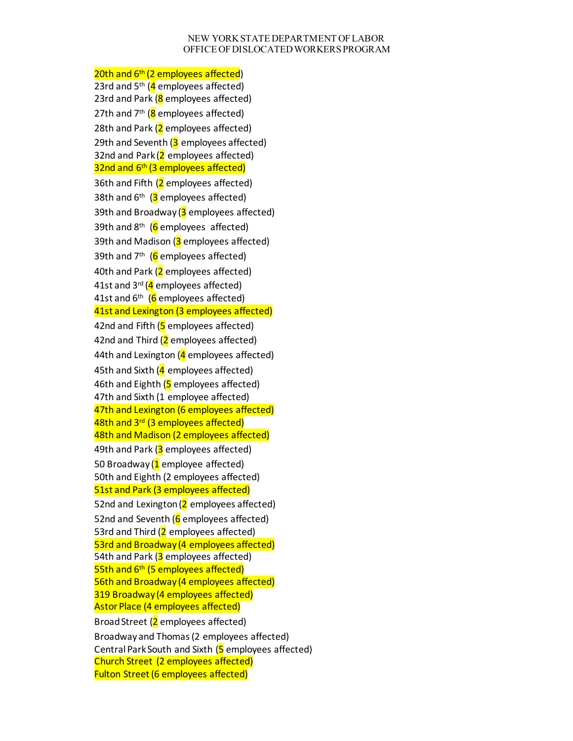## NEW YORK STATE DEPARTMENT OF LABOR OFFICE OF DISLOCATED WORKERS PROGRAM

20th and 6<sup>th</sup> (2 employees affected) 23rd and  $5<sup>th</sup>$  ( $4$  employees affected) 23rd and Park (8 employees affected) 27th and  $7<sup>th</sup>$  (8 employees affected) 28th and Park  $(2$  employees affected) 29th and Seventh  $(3 \text{ employees affected})$ 32nd and Park  $(2 \text{ employees affected})$ 32nd and 6<sup>th</sup> (3 employees affected) 36th and Fifth (2 employees affected) 38th and  $6<sup>th</sup>$  (3 employees affected) 39th and Broadway  $(3 \text{ employees affected})$ 39th and  $8<sup>th</sup>$  (6 employees affected) 39th and Madison  $(3 \text{ employees affected})$ 39th and  $7<sup>th</sup>$  (6 employees affected) 40th and Park (2 employees affected) 41st and  $3^{rd}$  (4 employees affected) 41st and  $6<sup>th</sup>$  (6 employees affected) 41st and Lexington (3 employees affected) 42nd and Fifth  $(5 \text{ employees affected})$ 42nd and Third  $(2 \text{ employees affected})$ 44th and Lexington  $(4 \text{ employees affected})$ 45th and Sixth  $(4 \text{ employees affected})$ 46th and Eighth  $(5 \text{ employees affected})$ 47th and Sixth (1 employee affected) 47th and Lexington (6 employees affected) 48th and 3<sup>rd</sup> (3 employees affected) 48th and Madison (2 employees affected) 49th and Park (3 employees affected) 50 Broadway ( $1$  employee affected) 50th and Eighth (2 employees affected) 51st and Park (3 employees affected) 52nd and Lexington  $(2$  employees affected) 52nd and Seventh  $(6$  employees affected) 53rd and Third  $(2 \text{ employees affected})$ 53rd and Broadway (4 employees affected) 54th and Park  $(3$  employees affected) 55th and 6<sup>th</sup> (5 employees affected) 56th and Broadway (4 employees affected) 319 Broadway (4 employees affected) Astor Place (4 employees affected) Broad Street (2 employees affected) Broadway and Thomas(2 employees affected) Central Park South and Sixth (5 employees affected) Church Street (2 employees affected) Fulton Street (6 employees affected)